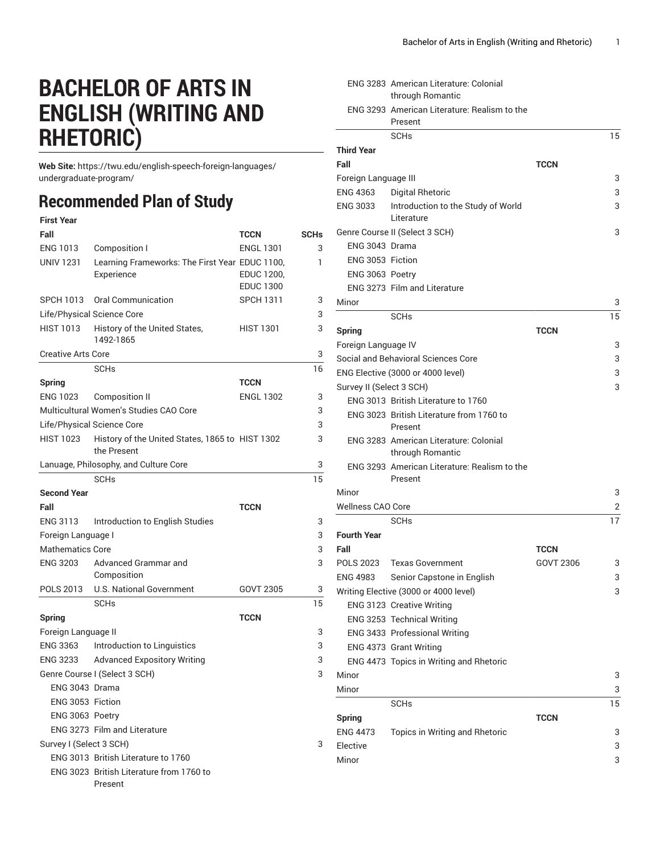## **BACHELOR OF ARTS IN ENGLISH (WRITING AND RHETORIC)**

**Web Site:** https://twu.edu/english-speech-foreign-languages/ undergraduate-program/

## **Recommended Plan of Study**

| <b>First Year</b> |  |
|-------------------|--|
|                   |  |

| Fall                       |                                                                | TCCN             | <b>SCHs</b> |
|----------------------------|----------------------------------------------------------------|------------------|-------------|
| <b>ENG 1013</b>            | Composition I                                                  | <b>ENGL 1301</b> | 3           |
| <b>UNIV 1231</b>           | Learning Frameworks: The First Year EDUC 1100,                 |                  | 1           |
|                            | Experience                                                     | EDUC 1200,       |             |
|                            |                                                                | <b>EDUC 1300</b> |             |
| SPCH 1013                  | Oral Communication                                             | <b>SPCH 1311</b> | 3           |
| Life/Physical Science Core |                                                                |                  | 3           |
| <b>HIST 1013</b>           | History of the United States,<br>1492-1865                     | <b>HIST 1301</b> | 3           |
| <b>Creative Arts Core</b>  |                                                                |                  | 3           |
|                            | <b>SCHs</b>                                                    |                  | 16          |
| Spring                     |                                                                | <b>TCCN</b>      |             |
| <b>ENG 1023</b>            | <b>Composition II</b>                                          | <b>ENGL 1302</b> | 3           |
|                            | Multicultural Women's Studies CAO Core                         |                  | 3           |
| Life/Physical Science Core |                                                                |                  | 3           |
| <b>HIST 1023</b>           | History of the United States, 1865 to HIST 1302<br>the Present |                  | 3           |
|                            | Lanuage, Philosophy, and Culture Core                          |                  | 3           |
|                            | <b>SCH<sub>s</sub></b>                                         |                  | 15          |
| <b>Second Year</b>         |                                                                |                  |             |
| Fall                       |                                                                | <b>TCCN</b>      |             |
| <b>ENG 3113</b>            | Introduction to English Studies                                |                  | 3           |
| Foreign Language I         |                                                                |                  | 3           |
| <b>Mathematics Core</b>    |                                                                |                  | 3           |
| <b>ENG 3203</b>            | Advanced Grammar and<br>Composition                            |                  | 3           |
| POLS 2013                  | <b>U.S. National Government</b>                                | GOVT 2305        | 3           |
|                            | <b>SCHs</b>                                                    |                  | 15          |
| <b>Spring</b>              |                                                                | <b>TCCN</b>      |             |
| Foreign Language II        |                                                                |                  | 3           |
| <b>ENG 3363</b>            | Introduction to Linguistics                                    |                  | 3           |
| <b>ENG 3233</b>            | <b>Advanced Expository Writing</b>                             |                  | 3           |
|                            | Genre Course I (Select 3 SCH)                                  |                  | 3           |
| ENG 3043 Drama             |                                                                |                  |             |
| ENG 3053 Fiction           |                                                                |                  |             |
| ENG 3063 Poetry            |                                                                |                  |             |
|                            | ENG 3273 Film and Literature                                   |                  |             |
| Survey I (Select 3 SCH)    |                                                                |                  | 3           |
|                            | ENG 3013 British Literature to 1760                            |                  |             |
|                            | ENG 3023 British Literature from 1760 to                       |                  |             |
|                            | Present                                                        |                  |             |

|                          | <b>ENG 3283 American Literature: Colonial</b><br>through Romantic |             |    |
|--------------------------|-------------------------------------------------------------------|-------------|----|
|                          | ENG 3293 American Literature: Realism to the                      |             |    |
|                          | Present                                                           |             |    |
|                          | <b>SCHs</b>                                                       |             | 15 |
| <b>Third Year</b>        |                                                                   |             |    |
| Fall                     |                                                                   | <b>TCCN</b> |    |
| Foreign Language III     |                                                                   |             | 3  |
| <b>ENG 4363</b>          | <b>Digital Rhetoric</b>                                           |             | 3  |
| <b>ENG 3033</b>          | Introduction to the Study of World<br>Literature                  |             | 3  |
|                          | Genre Course II (Select 3 SCH)                                    |             | 3  |
| ENG 3043 Drama           |                                                                   |             |    |
| ENG 3053 Fiction         |                                                                   |             |    |
| ENG 3063 Poetry          |                                                                   |             |    |
|                          | ENG 3273 Film and Literature                                      |             |    |
| Minor                    |                                                                   |             | 3  |
|                          | <b>SCHs</b>                                                       |             | 15 |
| <b>Spring</b>            |                                                                   | <b>TCCN</b> |    |
| Foreign Language IV      |                                                                   |             | 3  |
|                          | Social and Behavioral Sciences Core                               |             | 3  |
|                          | ENG Elective (3000 or 4000 level)                                 |             | 3  |
| Survey II (Select 3 SCH) |                                                                   |             | 3  |
|                          | ENG 3013 British Literature to 1760                               |             |    |
|                          | ENG 3023 British Literature from 1760 to                          |             |    |
|                          | Present                                                           |             |    |
|                          | ENG 3283 American Literature: Colonial<br>through Romantic        |             |    |
|                          | ENG 3293 American Literature: Realism to the<br>Present           |             |    |
| Minor                    |                                                                   |             | 3  |
| <b>Wellness CAO Core</b> |                                                                   |             | 2  |
|                          | <b>SCHs</b>                                                       |             | 17 |
| <b>Fourth Year</b>       |                                                                   |             |    |
| Fall                     |                                                                   | <b>TCCN</b> |    |
| POLS 2023                | Texas Government                                                  | GOVT 2306   | 3  |
| <b>ENG 4983</b>          | Senior Capstone in English                                        |             | 3  |
|                          | Writing Elective (3000 or 4000 level)                             |             | 3  |
|                          | ENG 3123 Creative Writing                                         |             |    |
|                          | ENG 3253 Technical Writing                                        |             |    |
|                          | ENG 3433 Professional Writing                                     |             |    |
|                          | ENG 4373 Grant Writing                                            |             |    |
|                          | ENG 4473 Topics in Writing and Rhetoric                           |             |    |
| Minor                    |                                                                   |             | 3  |
| Minor                    |                                                                   |             | 3  |
|                          | <b>SCHs</b>                                                       |             | 15 |
| <b>Spring</b>            |                                                                   | <b>TCCN</b> |    |
| <b>ENG 4473</b>          | Topics in Writing and Rhetoric                                    |             | 3  |
| Elective                 |                                                                   |             | 3  |
| Minor                    |                                                                   |             | 3  |
|                          |                                                                   |             |    |